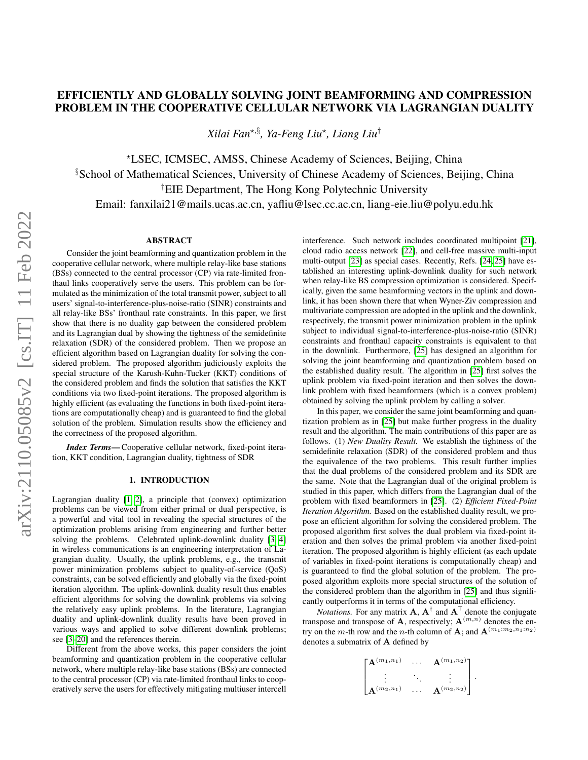# EFFICIENTLY AND GLOBALLY SOLVING JOINT BEAMFORMING AND COMPRESSION PROBLEM IN THE COOPERATIVE CELLULAR NETWORK VIA LAGRANGIAN DUALITY

*Xilai Fan*?,§ *, Ya-Feng Liu*? *, Liang Liu*†

?LSEC, ICMSEC, AMSS, Chinese Academy of Sciences, Beijing, China §School of Mathematical Sciences, University of Chinese Academy of Sciences, Beijing, China †EIE Department, The Hong Kong Polytechnic University Email: fanxilai21@mails.ucas.ac.cn, yafliu@lsec.cc.ac.cn, liang-eie.liu@polyu.edu.hk

## ABSTRACT

Consider the joint beamforming and quantization problem in the cooperative cellular network, where multiple relay-like base stations (BSs) connected to the central processor (CP) via rate-limited fronthaul links cooperatively serve the users. This problem can be formulated as the minimization of the total transmit power, subject to all users' signal-to-interference-plus-noise-ratio (SINR) constraints and all relay-like BSs' fronthaul rate constraints. In this paper, we first show that there is no duality gap between the considered problem and its Lagrangian dual by showing the tightness of the semidefinite relaxation (SDR) of the considered problem. Then we propose an efficient algorithm based on Lagrangian duality for solving the considered problem. The proposed algorithm judiciously exploits the special structure of the Karush-Kuhn-Tucker (KKT) conditions of the considered problem and finds the solution that satisfies the KKT conditions via two fixed-point iterations. The proposed algorithm is highly efficient (as evaluating the functions in both fixed-point iterations are computationally cheap) and is guaranteed to find the global solution of the problem. Simulation results show the efficiency and the correctness of the proposed algorithm.

*Index Terms*— Cooperative cellular network, fixed-point iteration, KKT condition, Lagrangian duality, tightness of SDR

# 1. INTRODUCTION

Lagrangian duality [\[1,](#page-4-0) [2\]](#page-4-1), a principle that (convex) optimization problems can be viewed from either primal or dual perspective, is a powerful and vital tool in revealing the special structures of the optimization problems arising from engineering and further better solving the problems. Celebrated uplink-downlink duality [\[3,](#page-4-2) [4\]](#page-4-3) in wireless communications is an engineering interpretation of Lagrangian duality. Usually, the uplink problems, e.g., the transmit power minimization problems subject to quality-of-service (QoS) constraints, can be solved efficiently and globally via the fixed-point iteration algorithm. The uplink-downlink duality result thus enables efficient algorithms for solving the downlink problems via solving the relatively easy uplink problems. In the literature, Lagrangian duality and uplink-downlink duality results have been proved in various ways and applied to solve different downlink problems; see [\[3–](#page-4-2)[20\]](#page-4-4) and the references therein.

Different from the above works, this paper considers the joint beamforming and quantization problem in the cooperative cellular network, where multiple relay-like base stations (BSs) are connected to the central processor (CP) via rate-limited fronthaul links to cooperatively serve the users for effectively mitigating multiuser intercell

interference. Such network includes coordinated multipoint [\[21\]](#page-4-5), cloud radio access network [\[22\]](#page-4-6), and cell-free massive multi-input multi-output [\[23\]](#page-4-7) as special cases. Recently, Refs. [\[24,](#page-4-8) [25\]](#page-4-9) have established an interesting uplink-downlink duality for such network when relay-like BS compression optimization is considered. Specifically, given the same beamforming vectors in the uplink and downlink, it has been shown there that when Wyner-Ziv compression and multivariate compression are adopted in the uplink and the downlink, respectively, the transmit power minimization problem in the uplink subject to individual signal-to-interference-plus-noise-ratio (SINR) constraints and fronthaul capacity constraints is equivalent to that in the downlink. Furthermore, [\[25\]](#page-4-9) has designed an algorithm for solving the joint beamforming and quantization problem based on the established duality result. The algorithm in [\[25\]](#page-4-9) first solves the uplink problem via fixed-point iteration and then solves the downlink problem with fixed beamformers (which is a convex problem) obtained by solving the uplink problem by calling a solver.

In this paper, we consider the same joint beamforming and quantization problem as in [\[25\]](#page-4-9) but make further progress in the duality result and the algorithm. The main contributions of this paper are as follows. (1) *New Duality Result.* We establish the tightness of the semidefinite relaxation (SDR) of the considered problem and thus the equivalence of the two problems. This result further implies that the dual problems of the considered problem and its SDR are the same. Note that the Lagrangian dual of the original problem is studied in this paper, which differs from the Lagrangian dual of the problem with fixed beamformers in [\[25\]](#page-4-9). (2) *Efficient Fixed-Point Iteration Algorithm.* Based on the established duality result, we propose an efficient algorithm for solving the considered problem. The proposed algorithm first solves the dual problem via fixed-point iteration and then solves the primal problem via another fixed-point iteration. The proposed algorithm is highly efficient (as each update of variables in fixed-point iterations is computationally cheap) and is guaranteed to find the global solution of the problem. The proposed algorithm exploits more special structures of the solution of the considered problem than the algorithm in [\[25\]](#page-4-9) and thus significantly outperforms it in terms of the computational efficiency.

*Notations*. For any matrix  $\mathbf{A}$ ,  $\mathbf{A}^{\dagger}$  and  $\mathbf{A}^{\dagger}$  denote the conjugate transpose and transpose of **A**, respectively;  $\mathbf{A}^{(m,n)}$  denotes the entry on the m-th row and the n-th column of **A**; and  $\mathbf{A}^{(m_1:m_2,n_1:n_2)}$ denotes a submatrix of A defined by

$$
\begin{bmatrix}\n{\bf A}^{(m_1,n_1)} & \cdots & {\bf A}^{(m_1,n_2)} \\
\vdots & \ddots & \vdots \\
{\bf A}^{(m_2,n_1)} & \cdots & {\bf A}^{(m_2,n_2)}\n\end{bmatrix}.
$$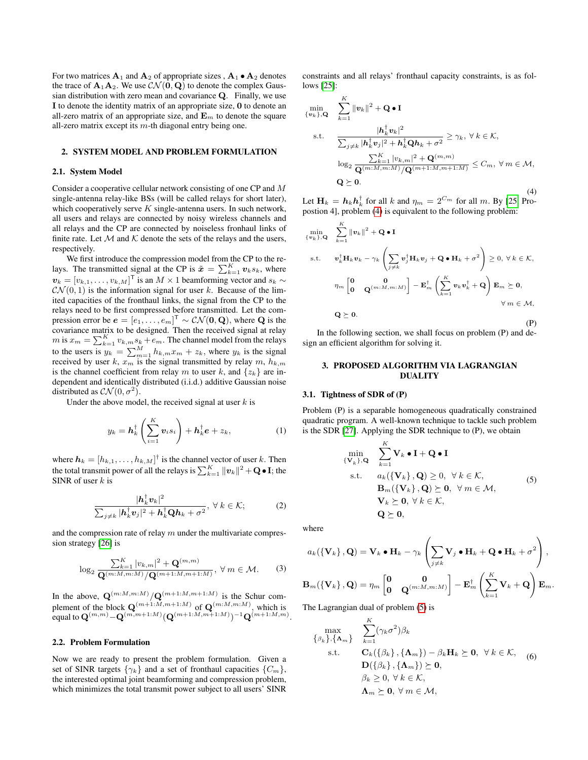For two matrices  $A_1$  and  $A_2$  of appropriate sizes ,  $A_1 \bullet A_2$  denotes the trace of  $\mathbf{A}_1 \mathbf{A}_2$ . We use  $\mathcal{CN}(\mathbf{0}, \mathbf{Q})$  to denote the complex Gaussian distribution with zero mean and covariance Q. Finally, we use I to denote the identity matrix of an appropriate size, 0 to denote an all-zero matrix of an appropriate size, and  $\mathbf{E}_m$  to denote the square all-zero matrix except its  $m$ -th diagonal entry being one.

# 2. SYSTEM MODEL AND PROBLEM FORMULATION

#### 2.1. System Model

Consider a cooperative cellular network consisting of one CP and M single-antenna relay-like BSs (will be called relays for short later), which cooperatively serve  $K$  single-antenna users. In such network, all users and relays are connected by noisy wireless channels and all relays and the CP are connected by noiseless fronhaul links of finite rate. Let  $M$  and  $K$  denote the sets of the relays and the users, respectively.

We first introduce the compression model from the CP to the relays. The transmitted signal at the CP is  $\tilde{\boldsymbol{x}} = \sum_{k=1}^{K} v_k s_k$ , where  $v_k = [v_{k,1}, \ldots, v_{k,M}]^\mathsf{T}$  is an  $M \times 1$  beamforming vector and  $s_k \sim$  $\mathcal{CN}(0, 1)$  is the information signal for user k. Because of the limited capacities of the fronthaul links, the signal from the CP to the relays need to be first compressed before transmitted. Let the compression error be  $e = [e_1, \ldots, e_m]^\mathsf{T} \sim \mathcal{CN}(\mathbf{0}, \mathbf{Q})$ , where  $\mathbf Q$  is the covariance matrix to be designed. Then the received signal at relay  $m$  is  $x_m = \sum_{k=1}^{K} v_{k,m} s_k + e_m$ . The channel model from the relays to the users is  $y_k = \sum_{m=1}^{M} h_{k,m} x_m + z_k$ , where  $y_k$  is the signal received by user k,  $x_m$  is the signal transmitted by relay m,  $h_{k,m}$ is the channel coefficient from relay m to user k, and  $\{z_k\}$  are independent and identically distributed (i.i.d.) additive Gaussian noise distributed as  $\mathcal{CN}(0, \sigma^2)$ .

Under the above model, the received signal at user  $k$  is

$$
y_k = \mathbf{h}_k^{\dagger} \left( \sum_{i=1}^K \mathbf{v}_i s_i \right) + \mathbf{h}_k^{\dagger} \mathbf{e} + z_k, \tag{1}
$$

where  $\mathbf{h}_k = [h_{k,1}, \dots, h_{k,M}]^\dagger$  is the channel vector of user k. Then the total transmit power of all the relays is  $\sum_{k=1}^K \| \bm{v}_k \|^2 + \mathbf{Q} \bullet \mathbf{I};$  the SINR of user  $k$  is

$$
\frac{|\boldsymbol{h}_k^{\dagger} \boldsymbol{v}_k|^2}{\sum_{j \neq k} |\boldsymbol{h}_k^{\dagger} \boldsymbol{v}_j|^2 + \boldsymbol{h}_k^{\dagger} \mathbf{Q} \boldsymbol{h}_k + \sigma^2}, \ \forall \ k \in \mathcal{K};
$$
 (2)

and the compression rate of relay  $m$  under the multivariate compression strategy [\[26\]](#page-4-10) is

$$
\log_2 \frac{\sum_{k=1}^K |v_{k,m}|^2 + \mathbf{Q}^{(m,m)}}{\mathbf{Q}^{(m:M,m:M)}/\mathbf{Q}^{(m+1:M,m+1:M)}}, \ \forall \ m \in \mathcal{M}.
$$
 (3)

In the above,  $\mathbf{Q}^{(m:M,m:M)} / \mathbf{Q}^{(m+1:M,m+1:M)}$  is the Schur complement of the block  $\mathbf{Q}^{(m+1:M,m+1:M)}$  of  $\mathbf{Q}^{(m:M,m:M)}$ , which is equal to  $\mathbf{Q}^{(m,m)}\!-\!\mathbf{Q}^{(m,m+1:M)}(\mathbf{Q}^{(m+1:M,m+1:M)})^{-1}\mathbf{Q}^{(m+1:M,m)}.$ 

#### 2.2. Problem Formulation

Now we are ready to present the problem formulation. Given a set of SINR targets  $\{\gamma_k\}$  and a set of fronthaul capacities  $\{C_m\}$ , the interested optimal joint beamforming and compression problem, which minimizes the total transmit power subject to all users' SINR

constraints and all relays' fronthaul capacity constraints, is as follows [\[25\]](#page-4-9):

<span id="page-1-0"></span>
$$
\min_{\{v_k\},\mathbf{Q}} \quad \sum_{k=1}^K \|v_k\|^2 + \mathbf{Q} \cdot \mathbf{I}
$$
\n
$$
\text{s.t.} \quad \frac{|\mathbf{h}_k^\dagger v_k|^2}{\sum_{j\neq k} |\mathbf{h}_k^\dagger v_j|^2 + \mathbf{h}_k^\dagger \mathbf{Q} \mathbf{h}_k + \sigma^2} \ge \gamma_k, \ \forall \ k \in \mathcal{K},
$$
\n
$$
\log_2 \frac{\sum_{k=1}^K |v_{k,m}|^2 + \mathbf{Q}^{(m,m)}}{\mathbf{Q}^{(m:M,m:M)}/\mathbf{Q}^{(m+1:M,m+1:M)}} \le C_m, \ \forall \ m \in \mathcal{M},
$$
\n
$$
\mathbf{Q} \succeq \mathbf{0}. \tag{4}
$$

Let  $\mathbf{H}_k = \boldsymbol{h}_k \boldsymbol{h}_k^{\dagger}$  for all  $k$  and  $\eta_m = 2^{C_m}$  for all  $m$ . By [\[25,](#page-4-9) Propostion 4], problem [\(4\)](#page-1-0) is equivalent to the following problem:

$$
\min_{\{v_k\},\mathbf{Q}} \sum_{k=1}^{K} ||v_k||^2 + \mathbf{Q} \cdot \mathbf{I}
$$
\ns.t. 
$$
v_k^{\dagger} \mathbf{H}_k v_k - \gamma_k \left( \sum_{j \neq k} v_j^{\dagger} \mathbf{H}_k v_j + \mathbf{Q} \cdot \mathbf{H}_k + \sigma^2 \right) \ge 0, \forall k \in \mathcal{K},
$$
\n
$$
\eta_m \begin{bmatrix} 0 & 0 \\ 0 & \mathbf{Q}^{(m:M,m:M)} \end{bmatrix} - \mathbf{E}_m^{\dagger} \left( \sum_{k=1}^{K} v_k v_k^{\dagger} + \mathbf{Q} \right) \mathbf{E}_m \succeq \mathbf{0},
$$
\n
$$
\forall m \in \mathcal{M},
$$
\n
$$
\mathbf{Q} \succeq \mathbf{0}.
$$
\n(P)

In the following section, we shall focus on problem (P) and design an efficient algorithm for solving it.

### 3. PROPOSED ALGORITHM VIA LAGRANGIAN DUALITY

#### 3.1. Tightness of SDR of (P)

Problem (P) is a separable homogeneous quadratically constrained quadratic program. A well-known technique to tackle such problem is the SDR [\[27\]](#page-4-11). Applying the SDR technique to (P), we obtain

<span id="page-1-1"></span>
$$
\min_{\{\mathbf{V}_k\},\mathbf{Q}} \quad \sum_{k=1}^K \mathbf{V}_k \bullet \mathbf{I} + \mathbf{Q} \bullet \mathbf{I}
$$
\n
$$
\text{s.t.} \quad a_k(\{\mathbf{V}_k\},\mathbf{Q}) \ge 0, \ \forall \, k \in \mathcal{K},
$$
\n
$$
\mathbf{B}_m(\{\mathbf{V}_k\},\mathbf{Q}) \ge 0, \ \forall \, m \in \mathcal{M},
$$
\n
$$
\mathbf{V}_k \succeq \mathbf{0}, \ \forall \, k \in \mathcal{K},
$$
\n
$$
\mathbf{Q} \succeq \mathbf{0},
$$
\n(5)

where

$$
a_k(\left\{ \mathbf{V}_k \right\},\mathbf{Q}) = \mathbf{V}_k \bullet \mathbf{H}_k - \gamma_k \left( \sum_{j \neq k} \mathbf{V}_j \bullet \mathbf{H}_k + \mathbf{Q} \bullet \mathbf{H}_k + \sigma^2 \right),
$$
  

$$
\mathbf{B}_m(\left\{ \mathbf{V}_k \right\},\mathbf{Q}) = \eta_m \begin{bmatrix} \mathbf{0} & \mathbf{0} \\ \mathbf{0} & \mathbf{Q}^{(m:M,m:M)} \end{bmatrix} - \mathbf{E}_m^{\dagger} \left( \sum_{k=1}^K \mathbf{V}_k + \mathbf{Q} \right) \mathbf{E}_m.
$$

The Lagrangian dual of problem [\(5\)](#page-1-1) is

$$
\begin{aligned}\n&\max_{\{\beta_k\},\{\mathbf{\Lambda}_m\}} \sum_{k=1}^K (\gamma_k \sigma^2) \beta_k \\
&\text{s.t.} \qquad \mathbf{C}_k(\{\beta_k\},\{\mathbf{\Lambda}_m\}) - \beta_k \mathbf{H}_k \succeq \mathbf{0}, \ \ \forall \ k \in \mathcal{K}, \\
&\mathbf{D}(\{\beta_k\},\{\mathbf{\Lambda}_m\}) \succeq \mathbf{0}, \\
&\beta_k \geq 0, \ \forall \ k \in \mathcal{K}, \\
&\mathbf{\Lambda}_m \succeq \mathbf{0}, \ \forall \ m \in \mathcal{M},\n\end{aligned}
$$
\n(6)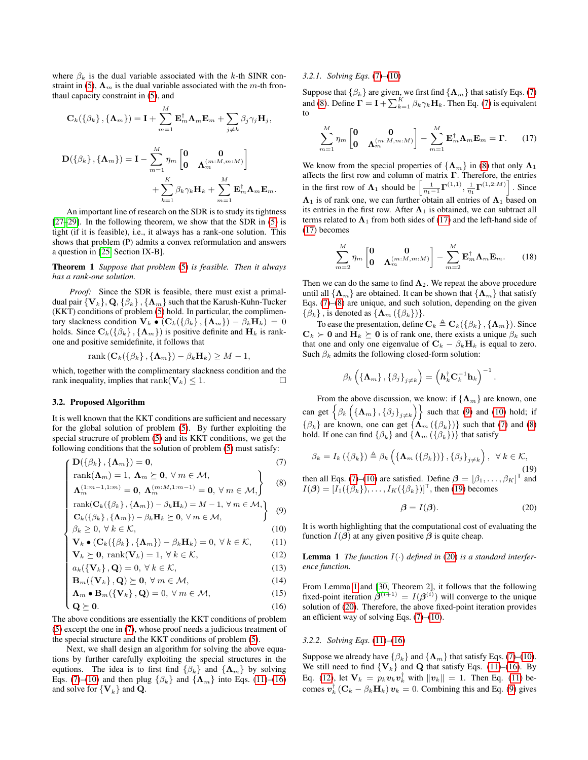where  $\beta_k$  is the dual variable associated with the k-th SINR con-straint in [\(5\)](#page-1-1),  $\Lambda_m$  is the dual variable associated with the m-th fronthaul capacity constraint in [\(5\)](#page-1-1), and

$$
\mathbf{C}_{k}(\{\beta_{k}\},\{\mathbf{\Lambda}_{m}\})=\mathbf{I}+\sum_{m=1}^{M}\mathbf{E}_{m}^{\dagger}\mathbf{\Lambda}_{m}\mathbf{E}_{m}+\sum_{j\neq k}\beta_{j}\gamma_{j}\mathbf{H}_{j},
$$

$$
\mathbf{D}(\{\beta_{k}\},\{\mathbf{\Lambda}_{m}\})=\mathbf{I}-\sum_{m=1}^{M}\eta_{m}\begin{bmatrix}\mathbf{0} & \mathbf{0} \\ \mathbf{0} & \mathbf{\Lambda}_{m}^{(m:M,m:M)}\end{bmatrix} + \sum_{k=1}^{K}\beta_{k}\gamma_{k}\mathbf{H}_{k}+\sum_{m=1}^{M}\mathbf{E}_{m}^{\dagger}\mathbf{\Lambda}_{m}\mathbf{E}_{m}.
$$

An important line of research on the SDR is to study its tightness [\[27](#page-4-11)[–29\]](#page-4-12). In the following theorem, we show that the SDR in [\(5\)](#page-1-1) is tight (if it is feasible), i.e., it always has a rank-one solution. This shows that problem (P) admits a convex reformulation and answers a question in [\[25,](#page-4-9) Section IX-B].

Theorem 1 *Suppose that problem* [\(5\)](#page-1-1) *is feasible. Then it always has a rank-one solution.*

*Proof:* Since the SDR is feasible, there must exist a primaldual pair  ${V_k}, Q, {\{\beta_k}\}, {\Lambda_m}\}$  such that the Karush-Kuhn-Tucker (KKT) conditions of problem [\(5\)](#page-1-1) hold. In particular, the complimentary slackness condition  $\mathbf{V}_k \bullet (\mathbf{C}_k(\{\beta_k\}, \{\mathbf{\Lambda}_m\}) - \beta_k \mathbf{H}_k) = 0$ holds. Since  $\mathbf{C}_k$ ({ $\beta_k$ }, { $\mathbf{\Lambda}_m$ }) is positive definite and  $\mathbf{H}_k$  is rankone and positive semidefinite, it follows that

rank  $(\mathbf{C}_k({\beta_k}, {\mathbf{\Lambda}}_m)) - {\beta_k} \mathbf{H}_k) \geq M - 1$ ,

which, together with the complimentary slackness condition and the rank inequality, implies that rank( $V_k$ )  $\leq 1$ .

#### 3.2. Proposed Algorithm

It is well known that the KKT conditions are sufficient and necessary for the global solution of problem [\(5\)](#page-1-1). By further exploiting the special strucrure of problem [\(5\)](#page-1-1) and its KKT conditions, we get the following conditions that the solution of problem [\(5\)](#page-1-1) must satisfy:

$$
\left( \mathbf{D}(\{\beta_k\}, \{\mathbf{\Lambda}_m\}) = \mathbf{0}, \right) \tag{7}
$$

rank
$$
(\Lambda_m)
$$
 = 1,  $\Lambda_m \geq 0$ ,  $\forall m \in M$ ,  
\n $\Lambda_m^{(1:m-1,1:m)} = 0$ ,  $\Lambda_m^{(m:M,1:m-1)} = 0$ ,  $\forall m \in M$ ,  
\nrank $(C_k(\{\beta_k\}, \{\Lambda_m\}) - \beta_k \mathbf{H}_k) = M - 1$ ,  $\forall m \in M$ ,  
\n $C_k(\{\beta_k\}, \{\Lambda_m\}) - \beta_k \mathbf{H}_k \geq 0$ ,  $\forall m \in M$ ,  
\n $\beta_k \geq 0$ ,  $\forall k \in K$ , (10)

$$
\operatorname{rank}(\mathbf{C}_k(\{\beta_k\}, \{\mathbf{\Lambda}_m\}) - \beta_k \mathbf{H}_k) = M - 1, \forall m \in \mathcal{M},
$$
\n
$$
\mathbf{C}_k(\{\beta_k\}, \{\mathbf{\Lambda}_m\}) - \beta_k \mathbf{H}_k) = M - 1, \forall m \in \mathcal{M},
$$
\n(9)

$$
\mathbf{C}_k(\{\beta_k\}, \{\mathbf{\Lambda}_m\}) - \beta_k \mathbf{H}_k \succeq \mathbf{0}, \forall m \in \mathcal{M},
$$

<span id="page-2-0"></span>
$$
\beta_k \ge 0, \forall k \in \mathcal{K},\tag{10}
$$

$$
\mathbf{V}_k \bullet (\mathbf{C}_k(\{\beta_k\}, \{\mathbf{\Lambda}_m\}) - \beta_k \mathbf{H}_k) = 0, \ \forall \ k \in \mathcal{K}, \tag{11}
$$

$$
\mathbf{V}_k \succeq \mathbf{0}, \text{ rank}(\mathbf{V}_k) = 1, \forall k \in \mathcal{K}, \tag{12}
$$

$$
a_k(\{\mathbf{V}_k\},\mathbf{Q})=0, \,\forall\,k\in\mathcal{K},\tag{13}
$$

$$
\mathbf{B}_{m}(\{\mathbf{V}_{k}\},\mathbf{Q})\succeq\mathbf{0},\,\forall\,m\in\mathcal{M},\tag{14}
$$

$$
\Lambda_m \bullet \mathbf{B}_m(\{\mathbf{V}_k\}, \mathbf{Q}) = 0, \forall m \in \mathcal{M}, \tag{15}
$$

$$
\mathbf{V}_{k} \bullet (\mathbf{C}_{k} \setminus \{N_{m}\}) - \beta_{k} \mathbf{H}_{k}) = 0, \forall k \in \mathcal{K}, \tag{11}
$$
\n
$$
\mathbf{V}_{k} \succeq \mathbf{0}, \text{ rank}(\mathbf{V}_{k}) = 1, \forall k \in \mathcal{K}, \tag{12}
$$
\n
$$
a_{k}(\{\mathbf{V}_{k}\}, \mathbf{Q}) = 0, \forall k \in \mathcal{K}, \tag{13}
$$
\n
$$
\mathbf{B}_{m}(\{\mathbf{V}_{k}\}, \mathbf{Q}) \succeq \mathbf{0}, \forall m \in \mathcal{M}, \tag{14}
$$
\n
$$
\Lambda_{m} \bullet \mathbf{B}_{m}(\{\mathbf{V}_{k}\}, \mathbf{Q}) = 0, \forall m \in \mathcal{M}, \tag{15}
$$
\n
$$
\mathbf{Q} \succeq \mathbf{0}. \tag{16}
$$

The above conditions are essentially the KKT conditions of problem [\(5\)](#page-1-1) except the one in [\(7\)](#page-2-0), whose proof needs a judicious treatment of the special structure and the KKT conditions of problem [\(5\)](#page-1-1).

Next, we shall design an algorithm for solving the above equations by further carefully exploiting the special structures in the equtions. The idea is to first find  $\{\beta_k\}$  and  $\{\Lambda_m\}$  by solving Eqs. [\(7\)](#page-2-0)–[\(10\)](#page-2-0) and then plug  $\{\beta_k\}$  and  $\{\Lambda_m\}$  into Eqs. [\(11\)](#page-2-0)–[\(16\)](#page-2-0) and solve for  ${V_k}$  and Q.

## *3.2.1. Solving Eqs.* [\(7\)](#page-2-0)*–*[\(10\)](#page-2-0)

Suppose that  $\{\beta_k\}$  are given, we first find  $\{\boldsymbol{\Lambda}_m\}$  that satisfy Eqs. [\(7\)](#page-2-0) and [\(8\)](#page-2-0). Define  $\mathbf{\Gamma} = \mathbf{I} + \sum_{k=1}^{K} \beta_k \gamma_k \mathbf{H}_k$ . Then Eq. [\(7\)](#page-2-0) is equivalent to

<span id="page-2-1"></span>
$$
\sum_{m=1}^{M} \eta_m \begin{bmatrix} \mathbf{0} & \mathbf{0} \\ \mathbf{0} & \mathbf{\Lambda}_m^{(m:M,m:M)} \end{bmatrix} - \sum_{m=1}^{M} \mathbf{E}_m^{\dagger} \mathbf{\Lambda}_m \mathbf{E}_m = \mathbf{\Gamma}. \tag{17}
$$

We know from the special properties of  $\{\Lambda_m\}$  in [\(8\)](#page-2-0) that only  $\Lambda_1$ affects the first row and column of matrix  $\Gamma$ . Therefore, the entries in the first row of  $\Lambda_1$  should be  $\left[\frac{1}{\eta_1-1}\Gamma^{(1,1)}, \frac{1}{\eta_1}\Gamma^{(1,2:M)}\right]$ . Since  $\Lambda_1$  is of rank one, we can further obtain all entries of  $\Lambda_1$  based on its entries in the first row. After  $\Lambda_1$  is obtained, we can subtract all terms related to  $\Lambda_1$  from both sides of [\(17\)](#page-2-1) and the left-hand side of [\(17\)](#page-2-1) becomes

$$
\sum_{m=2}^{M} \eta_m \begin{bmatrix} 0 & 0 \\ 0 & \Lambda_m^{(m:M,m:M)} \end{bmatrix} - \sum_{m=2}^{M} \mathbf{E}_m^{\dagger} \mathbf{\Lambda}_m \mathbf{E}_m.
$$
 (18)

Then we can do the same to find  $\Lambda_2$ . We repeat the above procedure until all  $\{\Lambda_m\}$  are obtained. It can be shown that  $\{\Lambda_m\}$  that satisfy Eqs. [\(7\)](#page-2-0)–[\(8\)](#page-2-0) are unique, and such solution, depending on the given  $\{\beta_k\}$ , is denoted as  $\{\Lambda_m(\{\beta_k\})\}.$ 

To ease the presentation, define  $\mathbf{C}_k \triangleq \mathbf{C}_k(\{\beta_k\}, \{\mathbf{\Lambda}_m\})$ . Since  $C_k$   $\succ$  0 and  $H_k$   $\geq$  0 is of rank one, there exists a unique  $\beta_k$  such that one and only one eigenvalue of  $C_k - \beta_k H_k$  is equal to zero. Such  $\beta_k$  admits the following closed-form solution:

$$
\beta_k\left(\left\{\mathbf{\Lambda}_m\right\},\left\{\beta_j\right\}_{j\neq k}\right) = \left(\mathbf{h}_k^{\dagger} \mathbf{C}_k^{-1} \mathbf{h}_k\right)^{-1}.
$$

From the above discussion, we know: if  $\{\Lambda_m\}$  are known, one can get  $\left\{ \beta_k \left( \{ \mathbf{\Lambda}_m \}, \{ \beta_j \}_{j \neq k} \right) \right\}$  such that [\(9\)](#page-2-0) and [\(10\)](#page-2-0) hold; if  $\{\beta_k\}$  are known, one can get  $\{\Lambda_m, (\{\beta_k\})\}$  such that [\(7\)](#page-2-0) and [\(8\)](#page-2-0) hold. If one can find  $\{\beta_k\}$  and  $\{\Lambda_m$  ( $\{\beta_k\}\}\$  that satisfy

<span id="page-2-2"></span>
$$
\beta_{k} = I_{k} (\{\beta_{k}\}) \triangleq \beta_{k} \left( \{\mathbf{\Lambda}_{m} (\{\beta_{k}\})\}, \{\beta_{j}\}_{j \neq k} \right), \ \forall \ k \in \mathcal{K},
$$
\n(19)

then all Eqs. [\(7\)](#page-2-0)–[\(10\)](#page-2-0) are satisfied. Define  $\boldsymbol{\beta} = [\beta_1, \dots, \beta_K]^T$  and  $I(\boldsymbol{\beta}) = [I_1(\{\beta_k\}), \dots, I_K(\{\beta_k\})]^T$ , then [\(19\)](#page-2-2) becomes

<span id="page-2-3"></span>
$$
\beta = I(\beta). \tag{20}
$$

It is worth highlighting that the computational cost of evaluating the function  $I(\beta)$  at any given positive  $\beta$  is quite cheap.

<span id="page-2-4"></span>**Lemma 1** *The function*  $I(\cdot)$  *defined in* [\(20\)](#page-2-3) *is a standard interference function.*

From Lemma [1](#page-2-4) and [\[30,](#page-4-13) Theorem 2], it follows that the following fixed-point iteration  $\beta^{(i+1)} = I(\beta^{(i)})$  will converge to the unique solution of [\(20\)](#page-2-3). Therefore, the above fixed-point iteration provides an efficient way of solving Eqs. [\(7\)](#page-2-0)–[\(10\)](#page-2-0).

#### *3.2.2. Solving Eqs.* [\(11\)](#page-2-0)*–*[\(16\)](#page-2-0)

Suppose we already have  $\{\beta_k\}$  and  $\{\Lambda_m\}$  that satisfy Eqs. [\(7\)](#page-2-0)–[\(10\)](#page-2-0). We still need to find  $\{V_k\}$  and Q that satisfy Eqs. [\(11\)](#page-2-0)–[\(16\)](#page-2-0). By Eq. [\(12\)](#page-2-0), let  $\mathbf{V}_k = p_k \boldsymbol{v}_k \boldsymbol{v}_k^{\dagger}$  with  $\|\boldsymbol{v}_k\| = 1$ . Then Eq. [\(11\)](#page-2-0) becomes  $\mathbf{v}_k^{\dagger}(\mathbf{C}_k - \beta_k \mathbf{H}_k) \mathbf{v}_k = 0$ . Combining this and Eq. [\(9\)](#page-2-0) gives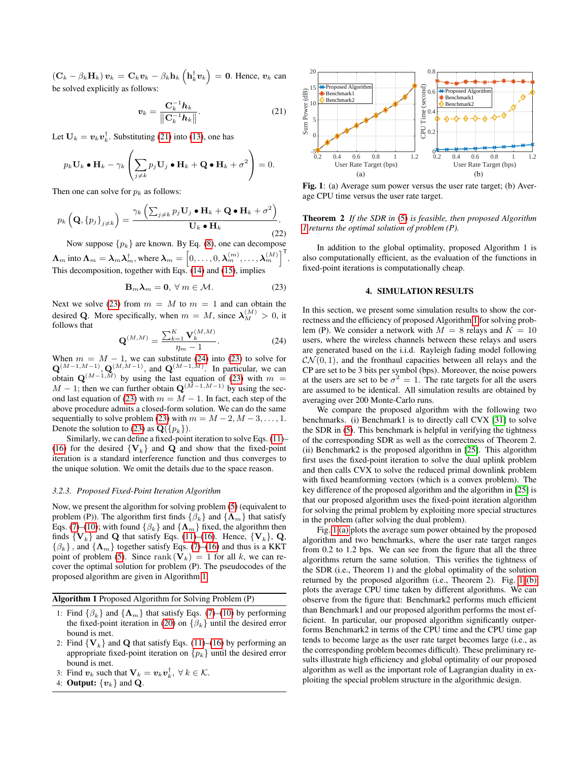$(\mathbf{C}_k - \beta_k \mathbf{H}_k) \mathbf{v}_k = \mathbf{C}_k \mathbf{v}_k - \beta_k \mathbf{h}_k \left( \mathbf{h}_k^{\dagger} \mathbf{v}_k \right) = \mathbf{0}$ . Hence,  $\mathbf{v}_k$  can be solved explicitly as follows:

<span id="page-3-0"></span>
$$
\boldsymbol{v}_k = \frac{\mathbf{C}_k^{-1} \boldsymbol{h}_k}{\left\| \mathbf{C}_k^{-1} \boldsymbol{h}_k \right\|}.
$$
 (21)

Let  $\mathbf{U}_k = \boldsymbol{v}_k \boldsymbol{v}_k^{\dagger}$ . Substituting [\(21\)](#page-3-0) into [\(13\)](#page-2-0), one has

$$
p_k \mathbf{U}_k \bullet \mathbf{H}_k - \gamma_k \left( \sum_{j \neq k} p_j \mathbf{U}_j \bullet \mathbf{H}_k + \mathbf{Q} \bullet \mathbf{H}_k + \sigma^2 \right) = 0.
$$

Then one can solve for  $p_k$  as follows:

$$
p_k\left(\mathbf{Q}, \left\{p_j\right\}_{j\neq k}\right) = \frac{\gamma_k\left(\sum_{j\neq k} p_j \mathbf{U}_j \bullet \mathbf{H}_k + \mathbf{Q} \bullet \mathbf{H}_k + \sigma^2\right)}{\mathbf{U}_k \bullet \mathbf{H}_k}.
$$
\n(22)

Now suppose  $\{p_k\}$  are known. By Eq. [\(8\)](#page-2-0), one can decompose  $\bm{\Lambda}_m$  into  $\bm{\Lambda}_m = \bm{\lambda}_m \bm{\lambda}_m^\dagger,$  where  $\bm{\lambda}_m = \left[0,\ldots,0,\bm{\lambda}_m^{(m)},\ldots,\bm{\lambda}_m^{(M)}\right]^\mathsf{T}$ This decomposition, together with Eqs.  $(14)$  and  $(15)$ , implies

<span id="page-3-1"></span>
$$
\mathbf{B}_{m}\lambda_{m}=\mathbf{0},\ \forall\ m\in\mathcal{M}.\tag{23}
$$

.

Next we solve [\(23\)](#page-3-1) from  $m = M$  to  $m = 1$  and can obtain the desired Q. More specifically, when  $m = M$ , since  $\lambda_M^{(M)} > 0$ , it follows that

<span id="page-3-2"></span>
$$
\mathbf{Q}^{(M,M)} = \frac{\sum_{k=1}^{K} \mathbf{V}_k^{(M,M)}}{\eta_m - 1}.
$$
 (24)

When  $m = M - 1$ , we can substitute [\(24\)](#page-3-2) into [\(23\)](#page-3-1) to solve for  $\mathbf{Q}^{(M-1,M-1)}$ ,  $\mathbf{Q}^{(M,M-1)}$ , and  $\mathbf{Q}^{(M-1,M)}$ . In particular, we can obtain  $\mathbf{Q}^{(M-1,M)}$  by using the last equation of [\(23\)](#page-3-1) with  $m =$  $M - 1$ ; then we can further obtain  $\mathbf{Q}^{(\bar{M}-1,M-1)}$  by using the sec-ond last equation of [\(23\)](#page-3-1) with  $m = M - 1$ . In fact, each step of the above procedure admits a closed-form solution. We can do the same sequentially to solve problem [\(23\)](#page-3-1) with  $m = M - 2, M - 3, \ldots, 1$ . Denote the solution to [\(23\)](#page-3-1) as  $\mathbf{Q}(\{p_k\})$ .

Similarly, we can define a fixed-point iteration to solve Eqs. [\(11\)](#page-2-0)– [\(16\)](#page-2-0) for the desired  ${V_k}$  and Q and show that the fixed-point iteration is a standard interference function and thus converges to the unique solution. We omit the details due to the space reason.

#### *3.2.3. Proposed Fixed-Point Iteration Algorithm*

Now, we present the algorithm for solving problem [\(5\)](#page-1-1) (equivalent to problem (P)). The algorithm first finds  $\{\beta_k\}$  and  $\{\Lambda_m\}$  that satisfy Eqs. [\(7\)](#page-2-0)–[\(10\)](#page-2-0); with found  $\{\beta_k\}$  and  $\{\Lambda_m\}$  fixed, the algorithm then finds  $\{V_k\}$  and Q that satisfy Eqs. [\(11\)](#page-2-0)–[\(16\)](#page-2-0). Hence,  $\{V_k\}$ , Q,  $\{\beta_k\}$ , and  $\{\Lambda_m\}$  together satisfy Eqs. [\(7\)](#page-2-0)–[\(16\)](#page-2-0) and thus is a KKT point of problem [\(5\)](#page-1-1). Since rank  $(V_k) = 1$  for all k, we can recover the optimal solution for problem (P). The pseudocodes of the proposed algorithm are given in Algorithm [1.](#page-3-3)

| <b>Algorithm 1</b> Proposed Algorithm for Solving Problem (P) |  |  |  |  |
|---------------------------------------------------------------|--|--|--|--|
|---------------------------------------------------------------|--|--|--|--|

- 1: Find  $\{\beta_k\}$  and  $\{\Lambda_m\}$  that satisfy Eqs. [\(7\)](#page-2-0)–[\(10\)](#page-2-0) by performing the fixed-point iteration in [\(20\)](#page-2-3) on  $\{\beta_k\}$  until the desired error bound is met.
- 2: Find  $\{V_k\}$  and Q that satisfy Eqs. [\(11\)](#page-2-0)–[\(16\)](#page-2-0) by performing an appropriate fixed-point iteration on  $\{p_k\}$  until the desired error bound is met.
- <span id="page-3-3"></span>3: Find  $v_k$  such that  $\mathbf{V}_k = v_k v_k^{\dagger}, \ \forall \ k \in \mathcal{K}$ .
- 4: **Output:**  $\{v_k\}$  and **Q**.

<span id="page-3-4"></span>

Fig. 1: (a) Average sum power versus the user rate target; (b) Average CPU time versus the user rate target.

## Theorem 2 *If the SDR in* [\(5\)](#page-1-1) *is feasible, then proposed Algorithm [1](#page-3-3) returns the optimal solution of problem (P).*

In addition to the global optimality, proposed Algorithm 1 is also computationally efficient, as the evaluation of the functions in fixed-point iterations is computationally cheap.

# 4. SIMULATION RESULTS

In this section, we present some simulation results to show the correctness and the efficiency of proposed Algorithm [1](#page-3-3) for solving problem (P). We consider a network with  $M = 8$  relays and  $K = 10$ users, where the wireless channels between these relays and users are generated based on the i.i.d. Rayleigh fading model following  $\mathcal{CN}(0,1)$ , and the fronthaul capacities between all relays and the CP are set to be 3 bits per symbol (bps). Moreover, the noise powers at the users are set to be  $\sigma^2 = 1$ . The rate targets for all the users are assumed to be identical. All simulation results are obtained by averaging over 200 Monte-Carlo runs.

We compare the proposed algorithm with the following two benchmarks. (i) Benchmark1 is to directly call CVX [\[31\]](#page-4-14) to solve the SDR in [\(5\)](#page-1-1). This benchmark is helpful in verifying the tightness of the corresponding SDR as well as the correctness of Theorem 2. (ii) Benchmark2 is the proposed algorithm in [\[25\]](#page-4-9). This algorithm first uses the fixed-point iteration to solve the dual uplink problem and then calls CVX to solve the reduced primal downlink problem with fixed beamforming vectors (which is a convex problem). The key difference of the proposed algorithm and the algorithm in [\[25\]](#page-4-9) is that our proposed algorithm uses the fixed-point iteration algorithm for solving the primal problem by exploiting more special structures in the problem (after solving the dual problem).

Fig. [1 \(a\)](#page-3-4) plots the average sum power obtained by the proposed algorithm and two benchmarks, where the user rate target ranges from 0.2 to 1.2 bps. We can see from the figure that all the three algorithms return the same solution. This verifies the tightness of the SDR (i.e., Theorem 1) and the global optimality of the solution returned by the proposed algorithm (i.e., Theorem 2). Fig. [1 \(b\)](#page-3-4) plots the average CPU time taken by different algorithms. We can observe from the figure that: Benchmark2 performs much efficient than Benchmark1 and our proposed algorithm performs the most efficient. In particular, our proposed algorithm significantly outperforms Benchmark2 in terms of the CPU time and the CPU time gap tends to become large as the user rate target becomes large (i.e., as the corresponding problem becomes difficult). These preliminary results illustrate high efficiency and global optimality of our proposed algorithm as well as the important role of Lagrangian duality in exploiting the special problem structure in the algorithmic design.